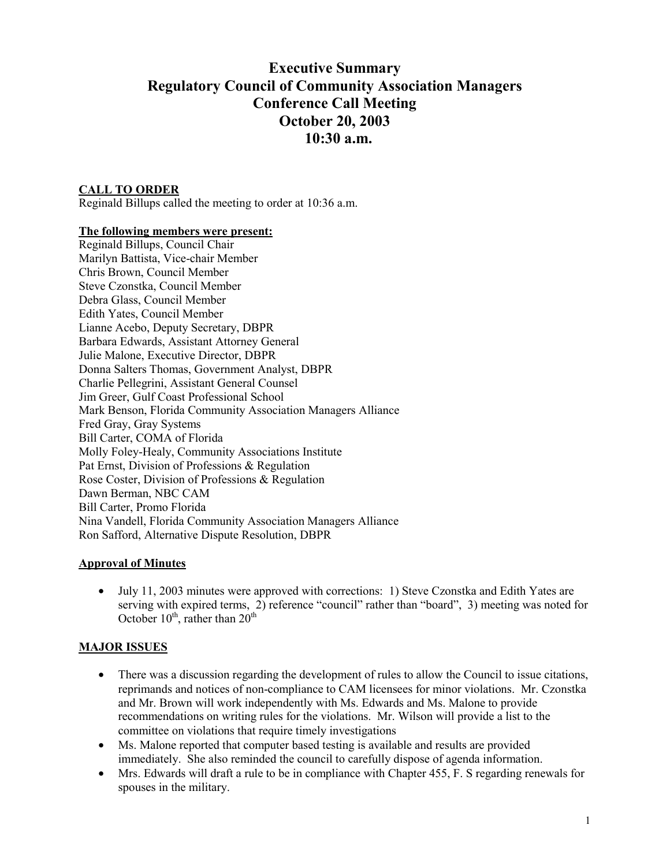# **Executive Summary Regulatory Council of Community Association Managers Conference Call Meeting October 20, 2003 10:30 a.m.**

## **CALL TO ORDER**

Reginald Billups called the meeting to order at 10:36 a.m.

#### **The following members were present:**

Reginald Billups, Council Chair Marilyn Battista, Vice-chair Member Chris Brown, Council Member Steve Czonstka, Council Member Debra Glass, Council Member Edith Yates, Council Member Lianne Acebo, Deputy Secretary, DBPR Barbara Edwards, Assistant Attorney General Julie Malone, Executive Director, DBPR Donna Salters Thomas, Government Analyst, DBPR Charlie Pellegrini, Assistant General Counsel Jim Greer, Gulf Coast Professional School Mark Benson, Florida Community Association Managers Alliance Fred Gray, Gray Systems Bill Carter, COMA of Florida Molly Foley-Healy, Community Associations Institute Pat Ernst, Division of Professions & Regulation Rose Coster, Division of Professions & Regulation Dawn Berman, NBC CAM Bill Carter, Promo Florida Nina Vandell, Florida Community Association Managers Alliance Ron Safford, Alternative Dispute Resolution, DBPR

### **Approval of Minutes**

• July 11, 2003 minutes were approved with corrections: 1) Steve Czonstka and Edith Yates are serving with expired terms, 2) reference "council" rather than "board", 3) meeting was noted for October  $10^{th}$ , rather than  $20^{th}$ 

### **MAJOR ISSUES**

- There was a discussion regarding the development of rules to allow the Council to issue citations, reprimands and notices of non-compliance to CAM licensees for minor violations. Mr. Czonstka and Mr. Brown will work independently with Ms. Edwards and Ms. Malone to provide recommendations on writing rules for the violations. Mr. Wilson will provide a list to the committee on violations that require timely investigations
- Ms. Malone reported that computer based testing is available and results are provided immediately. She also reminded the council to carefully dispose of agenda information.
- Mrs. Edwards will draft a rule to be in compliance with Chapter 455, F. S regarding renewals for spouses in the military.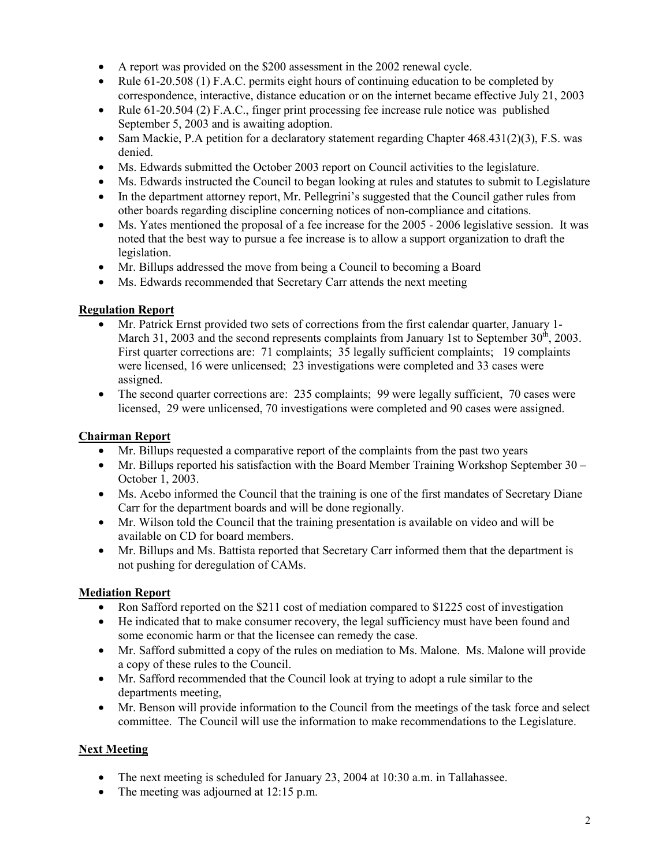- A report was provided on the \$200 assessment in the 2002 renewal cycle.
- Rule 61-20.508 (1) F.A.C. permits eight hours of continuing education to be completed by correspondence, interactive, distance education or on the internet became effective July 21, 2003
- Rule 61-20.504 (2) F.A.C., finger print processing fee increase rule notice was published September 5, 2003 and is awaiting adoption.
- Sam Mackie, P.A petition for a declaratory statement regarding Chapter 468.431(2)(3), F.S. was denied.
- Ms. Edwards submitted the October 2003 report on Council activities to the legislature.
- Ms. Edwards instructed the Council to began looking at rules and statutes to submit to Legislature
- In the department attorney report, Mr. Pellegrini's suggested that the Council gather rules from other boards regarding discipline concerning notices of non-compliance and citations.
- Ms. Yates mentioned the proposal of a fee increase for the 2005 2006 legislative session. It was noted that the best way to pursue a fee increase is to allow a support organization to draft the legislation.
- Mr. Billups addressed the move from being a Council to becoming a Board
- Ms. Edwards recommended that Secretary Carr attends the next meeting

## **Regulation Report**

- Mr. Patrick Ernst provided two sets of corrections from the first calendar quarter, January 1- March 31, 2003 and the second represents complaints from January 1st to September  $30<sup>th</sup>$ , 2003. First quarter corrections are: 71 complaints; 35 legally sufficient complaints; 19 complaints were licensed, 16 were unlicensed; 23 investigations were completed and 33 cases were assigned.
- The second quarter corrections are: 235 complaints; 99 were legally sufficient, 70 cases were licensed, 29 were unlicensed, 70 investigations were completed and 90 cases were assigned.

# **Chairman Report**

- Mr. Billups requested a comparative report of the complaints from the past two years
- Mr. Billups reported his satisfaction with the Board Member Training Workshop September 30 October 1, 2003.
- Ms. Acebo informed the Council that the training is one of the first mandates of Secretary Diane Carr for the department boards and will be done regionally.
- Mr. Wilson told the Council that the training presentation is available on video and will be available on CD for board members.
- Mr. Billups and Ms. Battista reported that Secretary Carr informed them that the department is not pushing for deregulation of CAMs.

# **Mediation Report**

- Ron Safford reported on the \$211 cost of mediation compared to \$1225 cost of investigation
- He indicated that to make consumer recovery, the legal sufficiency must have been found and some economic harm or that the licensee can remedy the case.
- Mr. Safford submitted a copy of the rules on mediation to Ms. Malone. Ms. Malone will provide a copy of these rules to the Council.
- Mr. Safford recommended that the Council look at trying to adopt a rule similar to the departments meeting,
- Mr. Benson will provide information to the Council from the meetings of the task force and select committee. The Council will use the information to make recommendations to the Legislature.

# **Next Meeting**

- The next meeting is scheduled for January 23, 2004 at 10:30 a.m. in Tallahassee.
- The meeting was adjourned at 12:15 p.m.